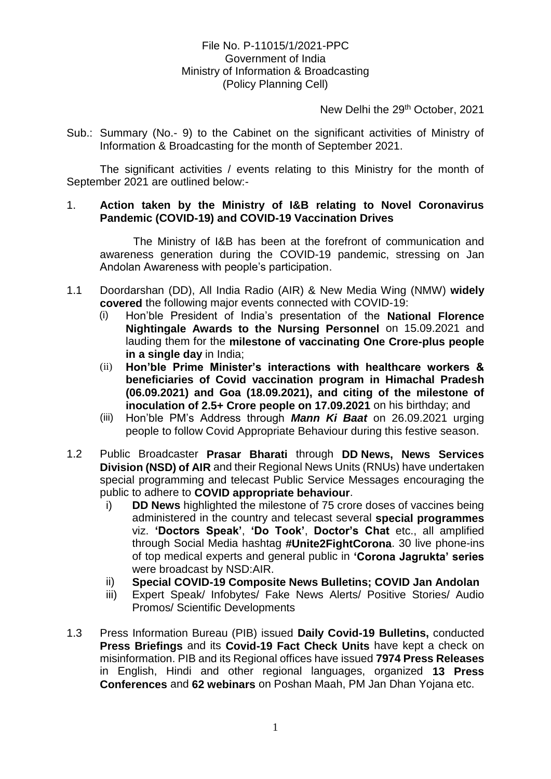## File No. P-11015/1/2021-PPC Government of India Ministry of Information & Broadcasting (Policy Planning Cell)

New Delhi the 29<sup>th</sup> October, 2021

Sub.: Summary (No.- 9) to the Cabinet on the significant activities of Ministry of Information & Broadcasting for the month of September 2021.

The significant activities / events relating to this Ministry for the month of September 2021 are outlined below:-

## 1. **Action taken by the Ministry of I&B relating to Novel Coronavirus Pandemic (COVID-19) and COVID-19 Vaccination Drives**

The Ministry of I&B has been at the forefront of communication and awareness generation during the COVID-19 pandemic, stressing on Jan Andolan Awareness with people's participation.

- 1.1 Doordarshan (DD), All India Radio (AIR) & New Media Wing (NMW) **widely covered** the following major events connected with COVID-19:
	- (i) Hon'ble President of India's presentation of the **National Florence Nightingale Awards to the Nursing Personnel** on 15.09.2021 and lauding them for the **milestone of vaccinating One Crore-plus people in a single day** in India;
	- (ii) **Hon'ble Prime Minister's interactions with healthcare workers & beneficiaries of Covid vaccination program in Himachal Pradesh (06.09.2021) and Goa (18.09.2021), and citing of the milestone of inoculation of 2.5+ Crore people on 17.09.2021** on his birthday; and
	- (iii) Hon'ble PM's Address through *Mann Ki Baat* on 26.09.2021 urging people to follow Covid Appropriate Behaviour during this festive season.
- 1.2 Public Broadcaster **Prasar Bharati** through **DD News, News Services Division (NSD) of AIR** and their Regional News Units (RNUs) have undertaken special programming and telecast Public Service Messages encouraging the public to adhere to **COVID appropriate behaviour**.
	- i) **DD News** highlighted the milestone of 75 crore doses of vaccines being administered in the country and telecast several **special programmes**  viz. **'Doctors Speak'**, **'Do Took'**, **Doctor's Chat** etc., all amplified through Social Media hashtag **#Unite2FightCorona**. 30 live phone-ins of top medical experts and general public in **'Corona Jagrukta' series**  were broadcast by NSD:AIR.
	- ii) **Special COVID-19 Composite News Bulletins; COVID Jan Andolan**
	- iii) Expert Speak/ Infobytes/ Fake News Alerts/ Positive Stories/ Audio Promos/ Scientific Developments
- 1.3 Press Information Bureau (PIB) issued **Daily Covid-19 Bulletins,** conducted **Press Briefings** and its **Covid-19 Fact Check Units** have kept a check on misinformation. PIB and its Regional offices have issued **7974 Press Releases** in English, Hindi and other regional languages, organized **13 Press Conferences** and **62 webinars** on Poshan Maah, PM Jan Dhan Yojana etc.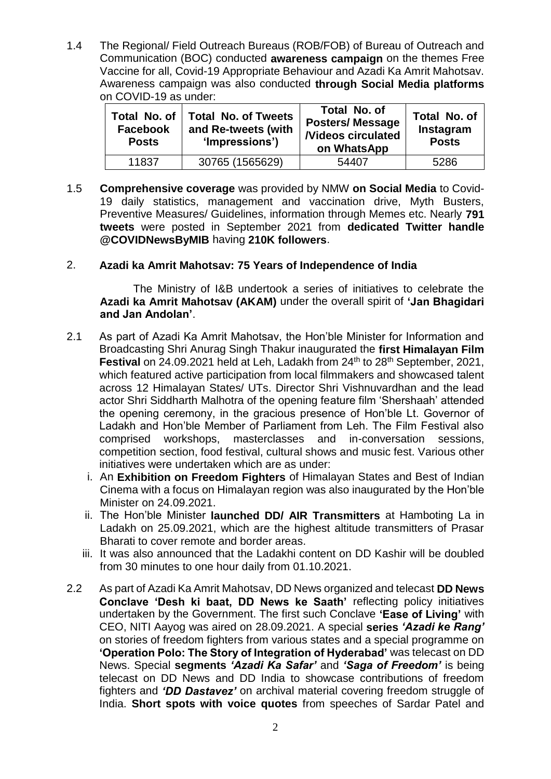1.4 The Regional/ Field Outreach Bureaus (ROB/FOB) of Bureau of Outreach and Communication (BOC) conducted **awareness campaign** on the themes Free Vaccine for all, Covid-19 Appropriate Behaviour and Azadi Ka Amrit Mahotsav. Awareness campaign was also conducted **through Social Media platforms** on COVID-19 as under:

| Total No. of<br><b>Facebook</b><br><b>Posts</b> | <b>Total No. of Tweets</b><br>and Re-tweets (with<br>'Impressions') | Total No. of<br><b>Posters/Message</b><br><b><i>Nideos circulated</i></b><br>on WhatsApp | Total No. of<br>Instagram<br><b>Posts</b> |
|-------------------------------------------------|---------------------------------------------------------------------|------------------------------------------------------------------------------------------|-------------------------------------------|
| 11837                                           | 30765 (1565629)                                                     | 54407                                                                                    | 5286                                      |

1.5 **Comprehensive coverage** was provided by NMW **on Social Media** to Covid-19 daily statistics, management and vaccination drive, Myth Busters, Preventive Measures/ Guidelines, information through Memes etc. Nearly **791 tweets** were posted in September 2021 from **dedicated Twitter handle @COVIDNewsByMIB** having **210K followers**.

## 2. **Azadi ka Amrit Mahotsav: 75 Years of Independence of India**

The Ministry of I&B undertook a series of initiatives to celebrate the **Azadi ka Amrit Mahotsav (AKAM)** under the overall spirit of **'Jan Bhagidari and Jan Andolan'**.

- 2.1 As part of Azadi Ka Amrit Mahotsav, the Hon'ble Minister for Information and Broadcasting Shri Anurag Singh Thakur inaugurated the **first Himalayan Film Festival** on 24.09.2021 held at Leh, Ladakh from 24<sup>th</sup> to 28<sup>th</sup> September, 2021, which featured active participation from local filmmakers and showcased talent across 12 Himalayan States/ UTs. Director Shri Vishnuvardhan and the lead actor Shri Siddharth Malhotra of the opening feature film 'Shershaah' attended the opening ceremony, in the gracious presence of Hon'ble Lt. Governor of Ladakh and Hon'ble Member of Parliament from Leh. The Film Festival also comprised workshops, masterclasses and in-conversation sessions, competition section, food festival, cultural shows and music fest. Various other initiatives were undertaken which are as under:
	- i. An **Exhibition on Freedom Fighters** of Himalayan States and Best of Indian Cinema with a focus on Himalayan region was also inaugurated by the Hon'ble Minister on 24.09.2021.
	- ii. The Hon'ble Minister **launched DD/ AIR Transmitters** at Hamboting La in Ladakh on 25.09.2021, which are the highest altitude transmitters of Prasar Bharati to cover remote and border areas.
	- iii. It was also announced that the Ladakhi content on DD Kashir will be doubled from 30 minutes to one hour daily from 01.10.2021.
- 2.2 As part of Azadi Ka Amrit Mahotsav, DD News organized and telecast **DD News Conclave 'Desh ki baat, DD News ke Saath'** reflecting policy initiatives undertaken by the Government. The first such Conclave **'Ease of Living'** with CEO, NITI Aayog was aired on 28.09.2021. A special **series** *'Azadi ke Rang'* on stories of freedom fighters from various states and a special programme on **'Operation Polo: The Story of Integration of Hyderabad'** was telecast on DD News. Special **segments** *'Azadi Ka Safar'* and *'Saga of Freedom'* is being telecast on DD News and DD India to showcase contributions of freedom fighters and *'DD Dastavez'* on archival material covering freedom struggle of India. **Short spots with voice quotes** from speeches of Sardar Patel and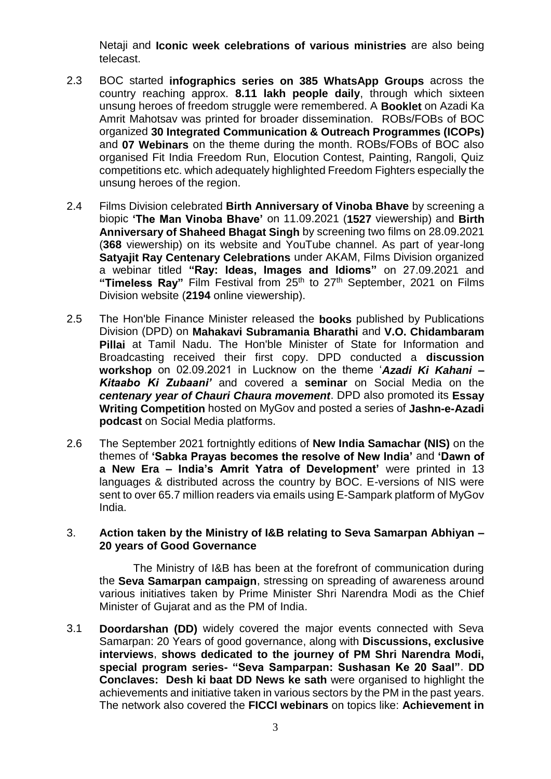Netaji and **Iconic week celebrations of various ministries** are also being telecast.

- 2.3 BOC started **infographics series on 385 WhatsApp Groups** across the country reaching approx. **8.11 lakh people daily**, through which sixteen unsung heroes of freedom struggle were remembered. A **Booklet** on Azadi Ka Amrit Mahotsav was printed for broader dissemination. ROBs/FOBs of BOC organized **30 Integrated Communication & Outreach Programmes (ICOPs)** and **07 Webinars** on the theme during the month. ROBs/FOBs of BOC also organised Fit India Freedom Run, Elocution Contest, Painting, Rangoli, Quiz competitions etc. which adequately highlighted Freedom Fighters especially the unsung heroes of the region.
- 2.4 Films Division celebrated **Birth Anniversary of Vinoba Bhave** by screening a biopic **'The Man Vinoba Bhave'** on 11.09.2021 (**1527** viewership) and **Birth Anniversary of Shaheed Bhagat Singh** by screening two films on 28.09.2021 (**368** viewership) on its website and YouTube channel. As part of year-long **Satyajit Ray Centenary Celebrations** under AKAM, Films Division organized a webinar titled **"Ray: Ideas, Images and Idioms"** on 27.09.2021 and **"Timeless Ray"** Film Festival from 25th to 27th September, 2021 on Films Division website (**2194** online viewership).
- 2.5 The Hon'ble Finance Minister released the **books** published by Publications Division (DPD) on **Mahakavi Subramania Bharathi** and **V.O. Chidambaram Pillai** at Tamil Nadu. The Hon'ble Minister of State for Information and Broadcasting received their first copy. DPD conducted a **discussion workshop** on 02.09.2021 in Lucknow on the theme '*Azadi Ki Kahani – Kitaabo Ki Zubaani'* and covered a **seminar** on Social Media on the *centenary year of Chauri Chaura movement*. DPD also promoted its **Essay Writing Competition** hosted on MyGov and posted a series of **Jashn-e-Azadi podcast** on Social Media platforms.
- 2.6 The September 2021 fortnightly editions of **New India Samachar (NIS)** on the themes of **'Sabka Prayas becomes the resolve of New India'** and **'Dawn of a New Era – India's Amrit Yatra of Development'** were printed in 13 languages & distributed across the country by BOC. E-versions of NIS were sent to over 65.7 million readers via emails using E-Sampark platform of MyGov India.

## 3. **Action taken by the Ministry of I&B relating to Seva Samarpan Abhiyan – 20 years of Good Governance**

The Ministry of I&B has been at the forefront of communication during the **Seva Samarpan campaign**, stressing on spreading of awareness around various initiatives taken by Prime Minister Shri Narendra Modi as the Chief Minister of Gujarat and as the PM of India.

3.1 **Doordarshan (DD)** widely covered the major events connected with Seva Samarpan: 20 Years of good governance, along with **Discussions, exclusive interviews**, **shows dedicated to the journey of PM Shri Narendra Modi, special program series- "Seva Samparpan: Sushasan Ke 20 Saal"**. **DD Conclaves: Desh ki baat DD News ke sath** were organised to highlight the achievements and initiative taken in various sectors by the PM in the past years. The network also covered the **FICCI webinars** on topics like: **Achievement in**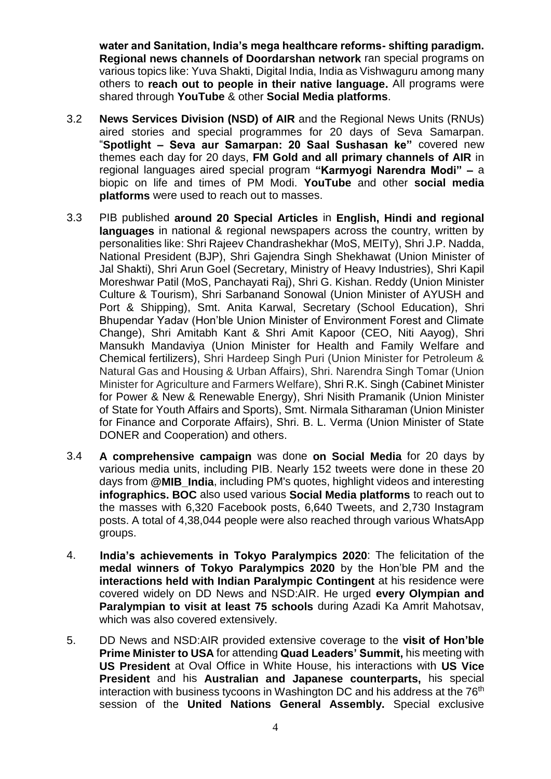**water and Sanitation, India's mega healthcare reforms- shifting paradigm. Regional news channels of Doordarshan network** ran special programs on various topics like: Yuva Shakti, Digital India, India as Vishwaguru among many others to **reach out to people in their native language.** All programs were shared through **YouTube** & other **Social Media platforms**.

- 3.2 **News Services Division (NSD) of AIR** and the Regional News Units (RNUs) aired stories and special programmes for 20 days of Seva Samarpan. "**Spotlight – Seva aur Samarpan: 20 Saal Sushasan ke"** covered new themes each day for 20 days, **FM Gold and all primary channels of AIR** in regional languages aired special program **"Karmyogi Narendra Modi" –** a biopic on life and times of PM Modi. **YouTube** and other **social media platforms** were used to reach out to masses.
- 3.3 PIB published **around 20 Special Articles** in **English, Hindi and regional languages** in national & regional newspapers across the country, written by personalities like: Shri Rajeev Chandrashekhar (MoS, MEITy), Shri J.P. Nadda, National President (BJP), Shri Gajendra Singh Shekhawat (Union Minister of Jal Shakti), Shri Arun Goel (Secretary, Ministry of Heavy Industries), Shri Kapil Moreshwar Patil (MoS, Panchayati Raj), Shri G. Kishan. Reddy (Union Minister Culture & Tourism), Shri Sarbanand Sonowal (Union Minister of AYUSH and Port & Shipping), Smt. Anita Karwal, Secretary (School Education), Shri Bhupendar Yadav (Hon'ble Union Minister of Environment Forest and Climate Change), Shri Amitabh Kant & Shri Amit Kapoor (CEO, Niti Aayog), Shri Mansukh Mandaviya (Union Minister for Health and Family Welfare and Chemical fertilizers), Shri Hardeep Singh Puri (Union Minister for Petroleum & Natural Gas and Housing & Urban Affairs), Shri. Narendra Singh Tomar (Union Minister for Agriculture and Farmers Welfare), Shri R.K. Singh (Cabinet Minister for Power & New & Renewable Energy), Shri Nisith Pramanik (Union Minister of State for Youth Affairs and Sports), Smt. Nirmala Sitharaman (Union Minister for Finance and Corporate Affairs), Shri. B. L. Verma (Union Minister of State DONER and Cooperation) and others.
- 3.4 **A comprehensive campaign** was done **on Social Media** for 20 days by various media units, including PIB. Nearly 152 tweets were done in these 20 days from **@MIB\_India**, including PM's quotes, highlight videos and interesting **infographics. BOC** also used various **Social Media platforms** to reach out to the masses with 6,320 Facebook posts, 6,640 Tweets, and 2,730 Instagram posts. A total of 4,38,044 people were also reached through various WhatsApp groups.
- 4. **India's achievements in Tokyo Paralympics 2020**: The felicitation of the **medal winners of Tokyo Paralympics 2020** by the Hon'ble PM and the **interactions held with Indian Paralympic Contingent** at his residence were covered widely on DD News and NSD:AIR. He urged **every Olympian and Paralympian to visit at least 75 schools** during Azadi Ka Amrit Mahotsav, which was also covered extensively.
- 5. DD News and NSD:AIR provided extensive coverage to the **visit of Hon'ble Prime Minister to USA** for attending **Quad Leaders' Summit,** his meeting with **US President** at Oval Office in White House, his interactions with **US Vice President** and his **Australian and Japanese counterparts,** his special interaction with business tycoons in Washington DC and his address at the  $76<sup>th</sup>$ session of the **United Nations General Assembly.** Special exclusive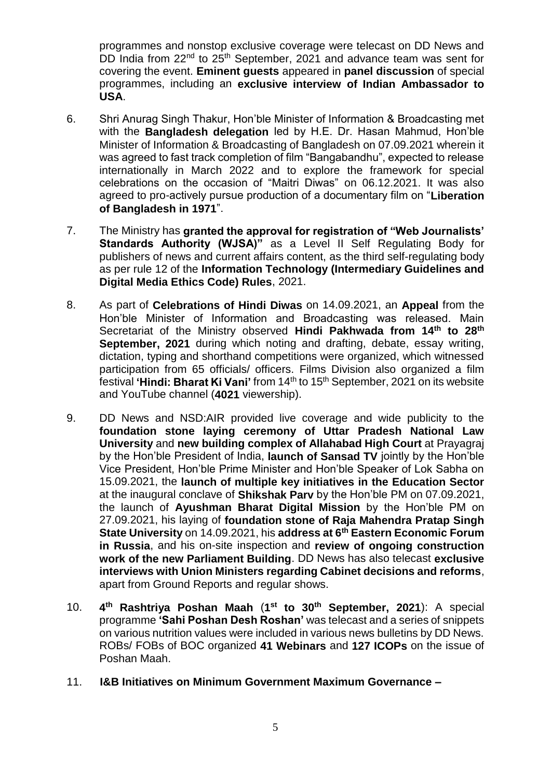programmes and nonstop exclusive coverage were telecast on DD News and DD India from 22<sup>nd</sup> to 25<sup>th</sup> September, 2021 and advance team was sent for covering the event. **Eminent guests** appeared in **panel discussion** of special programmes, including an **exclusive interview of Indian Ambassador to USA**.

- 6. Shri Anurag Singh Thakur, Hon'ble Minister of Information & Broadcasting met with the **Bangladesh delegation** led by H.E. Dr. Hasan Mahmud, Hon'ble Minister of Information & Broadcasting of Bangladesh on 07.09.2021 wherein it was agreed to fast track completion of film "Bangabandhu", expected to release internationally in March 2022 and to explore the framework for special celebrations on the occasion of "Maitri Diwas" on 06.12.2021. It was also agreed to pro-actively pursue production of a documentary film on "**Liberation of Bangladesh in 1971**".
- 7. The Ministry has **granted the approval for registration of "Web Journalists' Standards Authority (WJSA)"** as a Level II Self Regulating Body for publishers of news and current affairs content, as the third self-regulating body as per rule 12 of the **Information Technology (Intermediary Guidelines and Digital Media Ethics Code) Rules**, 2021.
- 8. As part of **Celebrations of Hindi Diwas** on 14.09.2021, an **Appeal** from the Hon'ble Minister of Information and Broadcasting was released. Main Secretariat of the Ministry observed **Hindi Pakhwada from 14th to 28th September, 2021** during which noting and drafting, debate, essay writing, dictation, typing and shorthand competitions were organized, which witnessed participation from 65 officials/ officers. Films Division also organized a film festival **'Hindi: Bharat Ki Vani'** from 14th to 15th September, 2021 on its website and YouTube channel (**4021** viewership).
- 9. DD News and NSD:AIR provided live coverage and wide publicity to the **foundation stone laying ceremony of Uttar Pradesh National Law University** and **new building complex of Allahabad High Court** at Prayagraj by the Hon'ble President of India, **launch of Sansad TV** jointly by the Hon'ble Vice President, Hon'ble Prime Minister and Hon'ble Speaker of Lok Sabha on 15.09.2021, the **launch of multiple key initiatives in the Education Sector** at the inaugural conclave of **Shikshak Parv** by the Hon'ble PM on 07.09.2021, the launch of **Ayushman Bharat Digital Mission** by the Hon'ble PM on 27.09.2021, his laying of **foundation stone of Raja Mahendra Pratap Singh State University** on 14.09.2021, his **address at 6th Eastern Economic Forum in Russia**, and his on-site inspection and **review of ongoing construction work of the new Parliament Building**. DD News has also telecast **exclusive interviews with Union Ministers regarding Cabinet decisions and reforms**, apart from Ground Reports and regular shows.
- 10. **4 th Rashtriya Poshan Maah** (**1 st to 30th September, 2021**): A special programme **'Sahi Poshan Desh Roshan'** was telecast and a series of snippets on various nutrition values were included in various news bulletins by DD News. ROBs/ FOBs of BOC organized **41 Webinars** and **127 ICOPs** on the issue of Poshan Maah.
- 11. **I&B Initiatives on Minimum Government Maximum Governance –**